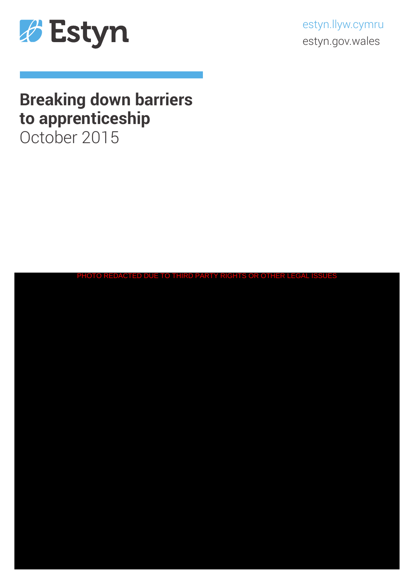

estyn.llyw.cymru estyn.gov.wales

# **Breaking down barriers to apprenticeship**

October 2015

| PHOTO REDACTED DUE TO THIRD PARTY RIGHTS OR OTHER LEGAL ISSUES |
|----------------------------------------------------------------|
|                                                                |
|                                                                |
|                                                                |
|                                                                |
|                                                                |
|                                                                |
|                                                                |
|                                                                |
|                                                                |
|                                                                |
|                                                                |
|                                                                |
|                                                                |
|                                                                |
|                                                                |
|                                                                |
|                                                                |
|                                                                |
|                                                                |
|                                                                |
|                                                                |
|                                                                |
|                                                                |
|                                                                |
|                                                                |
|                                                                |
|                                                                |
|                                                                |
|                                                                |
|                                                                |
|                                                                |
|                                                                |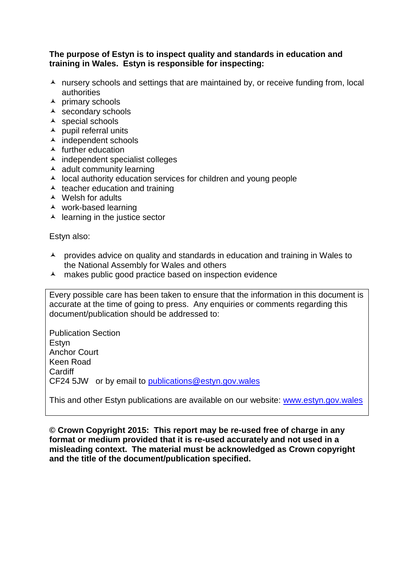#### **The purpose of Estyn is to inspect quality and standards in education and training in Wales. Estyn is responsible for inspecting:**

- $\lambda$  nursery schools and settings that are maintained by, or receive funding from, local authorities
- $\overline{\phantom{a}}$  primary schools
- $\overline{\phantom{a}}$  secondary schools
- $\triangle$  special schools
- $\lambda$  pupil referral units
- $\overline{\phantom{a}}$  independent schools
- $\triangle$  further education
- $\lambda$  independent specialist colleges
- $\triangle$  adult community learning
- $\lambda$  local authority education services for children and young people
- $\triangle$  teacher education and training
- $\triangle$  Welsh for adults
- work-based learning
- $\triangle$  learning in the justice sector

Estyn also:

- A provides advice on quality and standards in education and training in Wales to the National Assembly for Wales and others
- A makes public good practice based on inspection evidence

Every possible care has been taken to ensure that the information in this document is accurate at the time of going to press. Any enquiries or comments regarding this document/publication should be addressed to:

Publication Section Estyn Anchor Court Keen Road **Cardiff** CF24 5JW or by email to [publications@estyn.gov.wales](mailto:publications@estyn.gov.wales)

This and other Estyn publications are available on our website: [www.estyn.gov.wales](http://www.estyn.gov.wales/)

**© Crown Copyright 2015: This report may be re-used free of charge in any format or medium provided that it is re-used accurately and not used in a misleading context. The material must be acknowledged as Crown copyright and the title of the document/publication specified.**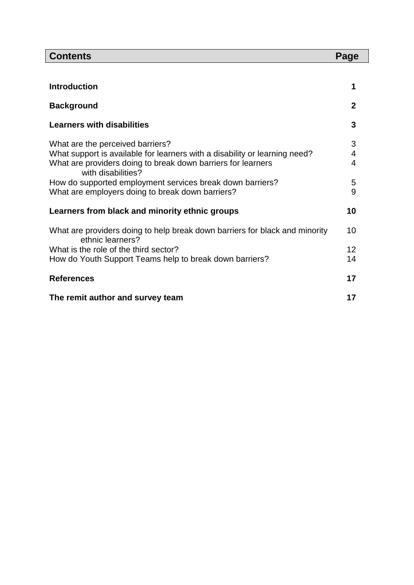| <b>Contents</b>                                                                                 |              |
|-------------------------------------------------------------------------------------------------|--------------|
|                                                                                                 |              |
| <b>Introduction</b>                                                                             |              |
| <b>Background</b>                                                                               | $\mathbf{2}$ |
| <b>Learners with disabilities</b>                                                               |              |
| What are the perceived barriers?                                                                |              |
| What support is available for learners with a disability or learning need?                      |              |
| What are providers doing to break down barriers for learners<br>with disabilities?              | 4            |
| How do supported employment services break down barriers?                                       |              |
| What are employers doing to break down barriers?                                                | 9            |
| Learners from black and minority ethnic groups                                                  |              |
| What are providers doing to help break down barriers for black and minority<br>ethnic learners? |              |
| What is the role of the third sector?                                                           | 12           |
| How do Youth Support Teams help to break down barriers?                                         | 14           |
| <b>References</b>                                                                               |              |
| The remit author and survey team                                                                |              |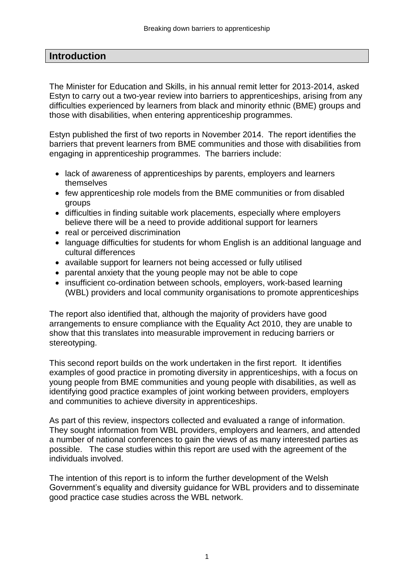# **Introduction**

The Minister for Education and Skills, in his annual remit letter for 2013-2014, asked Estyn to carry out a two-year review into barriers to apprenticeships, arising from any difficulties experienced by learners from black and minority ethnic (BME) groups and those with disabilities, when entering apprenticeship programmes.

Estyn published the first of two reports in November 2014. The report identifies the barriers that prevent learners from BME communities and those with disabilities from engaging in apprenticeship programmes. The barriers include:

- lack of awareness of apprenticeships by parents, employers and learners themselves
- few apprenticeship role models from the BME communities or from disabled groups
- difficulties in finding suitable work placements, especially where employers believe there will be a need to provide additional support for learners
- real or perceived discrimination
- language difficulties for students for whom English is an additional language and cultural differences
- available support for learners not being accessed or fully utilised
- parental anxiety that the young people may not be able to cope
- insufficient co-ordination between schools, employers, work-based learning (WBL) providers and local community organisations to promote apprenticeships

The report also identified that, although the majority of providers have good arrangements to ensure compliance with the Equality Act 2010, they are unable to show that this translates into measurable improvement in reducing barriers or stereotyping.

This second report builds on the work undertaken in the first report. It identifies examples of good practice in promoting diversity in apprenticeships, with a focus on young people from BME communities and young people with disabilities, as well as identifying good practice examples of joint working between providers, employers and communities to achieve diversity in apprenticeships.

As part of this review, inspectors collected and evaluated a range of information. They sought information from WBL providers, employers and learners, and attended a number of national conferences to gain the views of as many interested parties as possible. The case studies within this report are used with the agreement of the individuals involved.

The intention of this report is to inform the further development of the Welsh Government's equality and diversity guidance for WBL providers and to disseminate good practice case studies across the WBL network.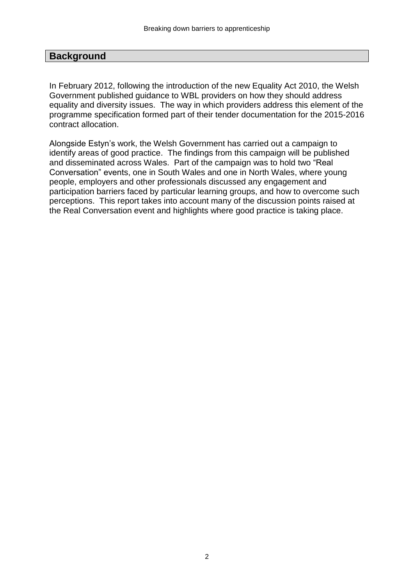## **Background**

In February 2012, following the introduction of the new Equality Act 2010, the Welsh Government published guidance to WBL providers on how they should address equality and diversity issues. The way in which providers address this element of the programme specification formed part of their tender documentation for the 2015-2016 contract allocation.

Alongside Estyn's work, the Welsh Government has carried out a campaign to identify areas of good practice. The findings from this campaign will be published and disseminated across Wales. Part of the campaign was to hold two "Real Conversation" events, one in South Wales and one in North Wales, where young people, employers and other professionals discussed any engagement and participation barriers faced by particular learning groups, and how to overcome such perceptions. This report takes into account many of the discussion points raised at the Real Conversation event and highlights where good practice is taking place.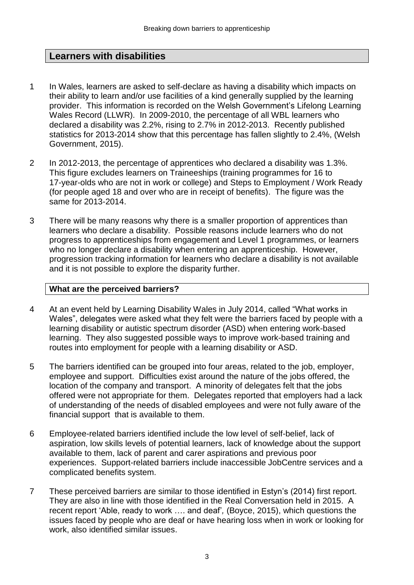# **Learners with disabilities**

- 1 In Wales, learners are asked to self-declare as having a disability which impacts on their ability to learn and/or use facilities of a kind generally supplied by the learning provider. This information is recorded on the Welsh Government's Lifelong Learning Wales Record (LLWR). In 2009-2010, the percentage of all WBL learners who declared a disability was 2.2%, rising to 2.7% in 2012-2013. Recently published statistics for 2013-2014 show that this percentage has fallen slightly to 2.4%, (Welsh Government, 2015).
- 2 In 2012-2013, the percentage of apprentices who declared a disability was 1.3%. This figure excludes learners on Traineeships (training programmes for 16 to 17-year-olds who are not in work or college) and Steps to Employment / Work Ready (for people aged 18 and over who are in receipt of benefits). The figure was the same for 2013-2014.
- 3 There will be many reasons why there is a smaller proportion of apprentices than learners who declare a disability. Possible reasons include learners who do not progress to apprenticeships from engagement and Level 1 programmes, or learners who no longer declare a disability when entering an apprenticeship. However, progression tracking information for learners who declare a disability is not available and it is not possible to explore the disparity further.

#### **What are the perceived barriers?**

- 4 At an event held by Learning Disability Wales in July 2014, called "What works in Wales", delegates were asked what they felt were the barriers faced by people with a learning disability or autistic spectrum disorder (ASD) when entering work-based learning. They also suggested possible ways to improve work-based training and routes into employment for people with a learning disability or ASD.
- 5 The barriers identified can be grouped into four areas, related to the job, employer, employee and support. Difficulties exist around the nature of the jobs offered, the location of the company and transport. A minority of delegates felt that the jobs offered were not appropriate for them. Delegates reported that employers had a lack of understanding of the needs of disabled employees and were not fully aware of the financial support that is available to them.
- 6 Employee-related barriers identified include the low level of self-belief, lack of aspiration, low skills levels of potential learners, lack of knowledge about the support available to them, lack of parent and carer aspirations and previous poor experiences. Support-related barriers include inaccessible JobCentre services and a complicated benefits system.
- 7 These perceived barriers are similar to those identified in Estyn's (2014) first report. They are also in line with those identified in the Real Conversation held in 2015. A recent report 'Able, ready to work …. and deaf'*,* (Boyce, 2015), which questions the issues faced by people who are deaf or have hearing loss when in work or looking for work, also identified similar issues.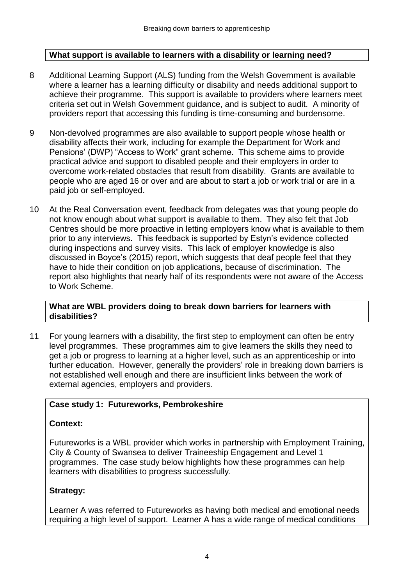## **What support is available to learners with a disability or learning need?**

- 8 Additional Learning Support (ALS) funding from the Welsh Government is available where a learner has a learning difficulty or disability and needs additional support to achieve their programme. This support is available to providers where learners meet criteria set out in Welsh Government guidance, and is subject to audit. A minority of providers report that accessing this funding is time-consuming and burdensome.
- 9 Non-devolved programmes are also available to support people whose health or disability affects their work, including for example the Department for Work and Pensions' (DWP) "Access to Work" grant scheme. This scheme aims to provide practical advice and support to disabled people and their employers in order to overcome work-related obstacles that result from disability. Grants are available to people who are aged 16 or over and are about to start a job or work trial or are in a paid job or self-employed.
- 10 At the Real Conversation event, feedback from delegates was that young people do not know enough about what support is available to them. They also felt that Job Centres should be more proactive in letting employers know what is available to them prior to any interviews. This feedback is supported by Estyn's evidence collected during inspections and survey visits. This lack of employer knowledge is also discussed in Boyce's (2015) report, which suggests that deaf people feel that they have to hide their condition on job applications, because of discrimination. The report also highlights that nearly half of its respondents were not aware of the Access to Work Scheme.

#### **What are WBL providers doing to break down barriers for learners with disabilities?**

11 For young learners with a disability, the first step to employment can often be entry level programmes. These programmes aim to give learners the skills they need to get a job or progress to learning at a higher level, such as an apprenticeship or into further education. However, generally the providers' role in breaking down barriers is not established well enough and there are insufficient links between the work of external agencies, employers and providers.

## **Case study 1: Futureworks, Pembrokeshire**

#### **Context:**

Futureworks is a WBL provider which works in partnership with Employment Training, City & County of Swansea to deliver Traineeship Engagement and Level 1 programmes. The case study below highlights how these programmes can help learners with disabilities to progress successfully.

#### **Strategy:**

Learner A was referred to Futureworks as having both medical and emotional needs requiring a high level of support. Learner A has a wide range of medical conditions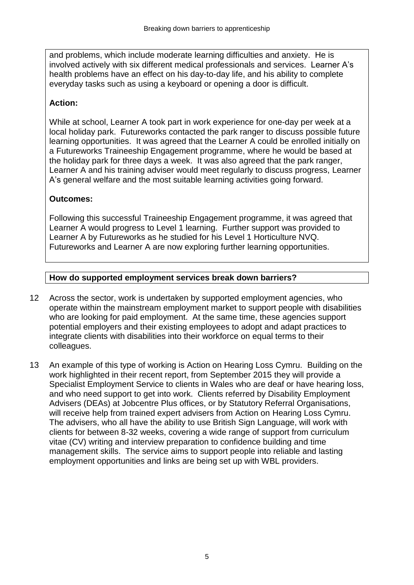and problems, which include moderate learning difficulties and anxiety. He is involved actively with six different medical professionals and services. Learner A's health problems have an effect on his day-to-day life, and his ability to complete everyday tasks such as using a keyboard or opening a door is difficult.

## **Action:**

While at school, Learner A took part in work experience for one-day per week at a local holiday park. Futureworks contacted the park ranger to discuss possible future learning opportunities. It was agreed that the Learner A could be enrolled initially on a Futureworks Traineeship Engagement programme, where he would be based at the holiday park for three days a week. It was also agreed that the park ranger, Learner A and his training adviser would meet regularly to discuss progress, Learner A's general welfare and the most suitable learning activities going forward.

## **Outcomes:**

Following this successful Traineeship Engagement programme, it was agreed that Learner A would progress to Level 1 learning. Further support was provided to Learner A by Futureworks as he studied for his Level 1 Horticulture NVQ. Futureworks and Learner A are now exploring further learning opportunities.

# **How do supported employment services break down barriers?**

- 12 Across the sector, work is undertaken by supported employment agencies, who operate within the mainstream employment market to support people with disabilities who are looking for paid employment. At the same time, these agencies support potential employers and their existing employees to adopt and adapt practices to integrate clients with disabilities into their workforce on equal terms to their colleagues.
- 13 An example of this type of working is Action on Hearing Loss Cymru. Building on the work highlighted in their recent report, from September 2015 they will provide a Specialist Employment Service to clients in Wales who are deaf or have hearing loss, and who need support to get into work. Clients referred by Disability Employment Advisers (DEAs) at Jobcentre Plus offices, or by Statutory Referral Organisations, will receive help from trained expert advisers from Action on Hearing Loss Cymru. The advisers, who all have the ability to use British Sign Language, will work with clients for between 8-32 weeks, covering a wide range of support from curriculum vitae (CV) writing and interview preparation to confidence building and time management skills. The service aims to support people into reliable and lasting employment opportunities and links are being set up with WBL providers.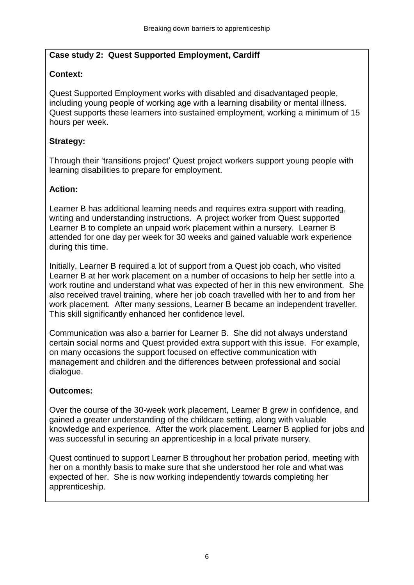# **Case study 2: Quest Supported Employment, Cardiff**

# **Context:**

Quest Supported Employment works with disabled and disadvantaged people, including young people of working age with a learning disability or mental illness. Quest supports these learners into sustained employment, working a minimum of 15 hours per week.

# **Strategy:**

Through their 'transitions project' Quest project workers support young people with learning disabilities to prepare for employment.

# **Action:**

Learner B has additional learning needs and requires extra support with reading, writing and understanding instructions. A project worker from Quest supported Learner B to complete an unpaid work placement within a nursery. Learner B attended for one day per week for 30 weeks and gained valuable work experience during this time.

Initially, Learner B required a lot of support from a Quest job coach, who visited Learner B at her work placement on a number of occasions to help her settle into a work routine and understand what was expected of her in this new environment. She also received travel training, where her job coach travelled with her to and from her work placement. After many sessions, Learner B became an independent traveller. This skill significantly enhanced her confidence level.

Communication was also a barrier for Learner B. She did not always understand certain social norms and Quest provided extra support with this issue. For example, on many occasions the support focused on effective communication with management and children and the differences between professional and social dialogue.

## **Outcomes:**

Over the course of the 30-week work placement, Learner B grew in confidence, and gained a greater understanding of the childcare setting, along with valuable knowledge and experience. After the work placement, Learner B applied for jobs and was successful in securing an apprenticeship in a local private nursery.

Quest continued to support Learner B throughout her probation period, meeting with her on a monthly basis to make sure that she understood her role and what was expected of her. She is now working independently towards completing her apprenticeship.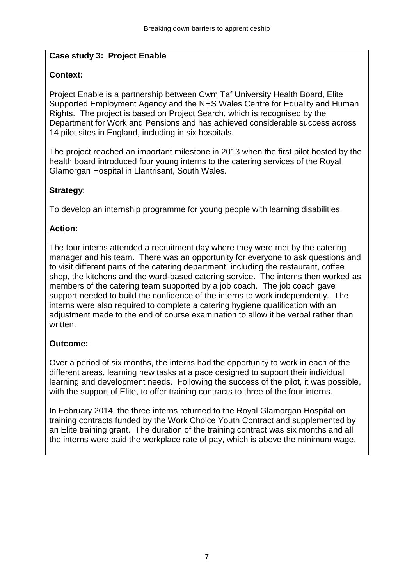## **Case study 3: Project Enable**

## **Context:**

Project Enable is a partnership between Cwm Taf University Health Board, Elite Supported Employment Agency and the NHS Wales Centre for Equality and Human Rights. The project is based on Project Search, which is recognised by the Department for Work and Pensions and has achieved considerable success across 14 pilot sites in England, including in six hospitals.

The project reached an important milestone in 2013 when the first pilot hosted by the health board introduced four young interns to the catering services of the Royal Glamorgan Hospital in Llantrisant, South Wales.

# **Strategy**:

To develop an internship programme for young people with learning disabilities.

## **Action:**

The four interns attended a recruitment day where they were met by the catering manager and his team. There was an opportunity for everyone to ask questions and to visit different parts of the catering department, including the restaurant, coffee shop, the kitchens and the ward-based catering service. The interns then worked as members of the catering team supported by a job coach. The job coach gave support needed to build the confidence of the interns to work independently. The interns were also required to complete a catering hygiene qualification with an adjustment made to the end of course examination to allow it be verbal rather than written

## **Outcome:**

Over a period of six months, the interns had the opportunity to work in each of the different areas, learning new tasks at a pace designed to support their individual learning and development needs. Following the success of the pilot, it was possible, with the support of Elite, to offer training contracts to three of the four interns.

In February 2014, the three interns returned to the Royal Glamorgan Hospital on training contracts funded by the Work Choice Youth Contract and supplemented by an Elite training grant. The duration of the training contract was six months and all the interns were paid the workplace rate of pay, which is above the minimum wage.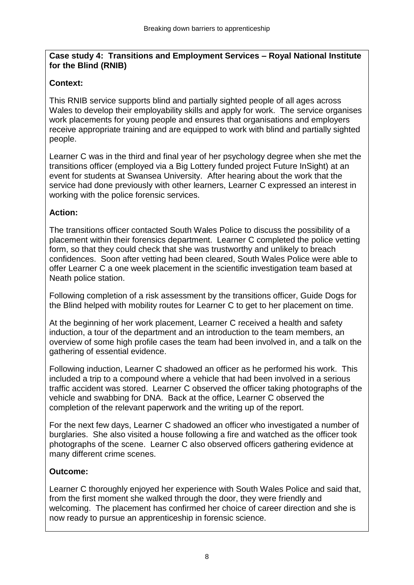## **Case study 4: Transitions and Employment Services – Royal National Institute for the Blind (RNIB)**

# **Context:**

This RNIB service supports blind and partially sighted people of all ages across Wales to develop their employability skills and apply for work. The service organises work placements for young people and ensures that organisations and employers receive appropriate training and are equipped to work with blind and partially sighted people.

Learner C was in the third and final year of her psychology degree when she met the transitions officer (employed via a Big Lottery funded project Future InSight) at an event for students at Swansea University. After hearing about the work that the service had done previously with other learners, Learner C expressed an interest in working with the police forensic services.

# **Action:**

The transitions officer contacted South Wales Police to discuss the possibility of a placement within their forensics department. Learner C completed the police vetting form, so that they could check that she was trustworthy and unlikely to breach confidences. Soon after vetting had been cleared, South Wales Police were able to offer Learner C a one week placement in the scientific investigation team based at Neath police station.

Following completion of a risk assessment by the transitions officer, Guide Dogs for the Blind helped with mobility routes for Learner C to get to her placement on time.

At the beginning of her work placement, Learner C received a health and safety induction, a tour of the department and an introduction to the team members, an overview of some high profile cases the team had been involved in, and a talk on the gathering of essential evidence.

Following induction, Learner C shadowed an officer as he performed his work. This included a trip to a compound where a vehicle that had been involved in a serious traffic accident was stored. Learner C observed the officer taking photographs of the vehicle and swabbing for DNA. Back at the office, Learner C observed the completion of the relevant paperwork and the writing up of the report.

For the next few days, Learner C shadowed an officer who investigated a number of burglaries. She also visited a house following a fire and watched as the officer took photographs of the scene. Learner C also observed officers gathering evidence at many different crime scenes.

# **Outcome:**

Learner C thoroughly enjoyed her experience with South Wales Police and said that, from the first moment she walked through the door, they were friendly and welcoming. The placement has confirmed her choice of career direction and she is now ready to pursue an apprenticeship in forensic science.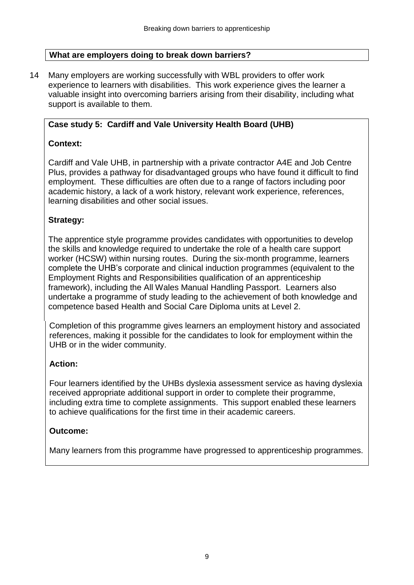## **What are employers doing to break down barriers?**

14 Many employers are working successfully with WBL providers to offer work experience to learners with disabilities. This work experience gives the learner a valuable insight into overcoming barriers arising from their disability, including what support is available to them.

## **Case study 5: Cardiff and Vale University Health Board (UHB)**

### **Context:**

Cardiff and Vale UHB, in partnership with a private contractor A4E and Job Centre Plus, provides a pathway for disadvantaged groups who have found it difficult to find employment. These difficulties are often due to a range of factors including poor academic history, a lack of a work history, relevant work experience, references, learning disabilities and other social issues.

### **Strategy:**

The apprentice style programme provides candidates with opportunities to develop the skills and knowledge required to undertake the role of a health care support worker (HCSW) within nursing routes. During the six-month programme, learners complete the UHB's corporate and clinical induction programmes (equivalent to the Employment Rights and Responsibilities qualification of an apprenticeship framework), including the All Wales Manual Handling Passport. Learners also undertake a programme of study leading to the achievement of both knowledge and competence based Health and Social Care Diploma units at Level 2.

Completion of this programme gives learners an employment history and associated references, making it possible for the candidates to look for employment within the UHB or in the wider community.

## **Action:**

Four learners identified by the UHBs dyslexia assessment service as having dyslexia received appropriate additional support in order to complete their programme, including extra time to complete assignments. This support enabled these learners to achieve qualifications for the first time in their academic careers.

## **Outcome:**

Many learners from this programme have progressed to apprenticeship programmes.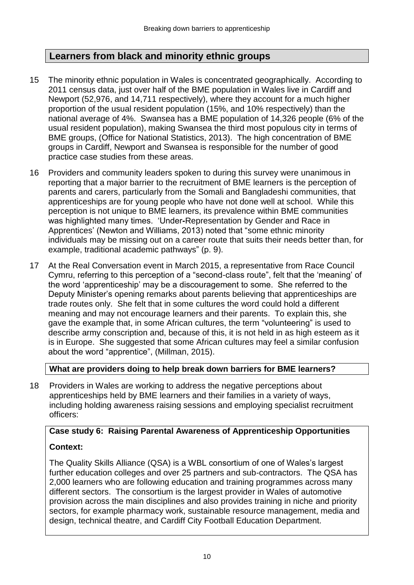# **Learners from black and minority ethnic groups**

- 15 The minority ethnic population in Wales is concentrated geographically. According to 2011 census data, just over half of the BME population in Wales live in Cardiff and Newport (52,976, and 14,711 respectively), where they account for a much higher proportion of the usual resident population (15%, and 10% respectively) than the national average of 4%. Swansea has a BME population of 14,326 people (6% of the usual resident population), making Swansea the third most populous city in terms of BME groups, (Office for National Statistics, 2013). The high concentration of BME groups in Cardiff, Newport and Swansea is responsible for the number of good practice case studies from these areas.
- 16 Providers and community leaders spoken to during this survey were unanimous in reporting that a major barrier to the recruitment of BME learners is the perception of parents and carers, particularly from the Somali and Bangladeshi communities, that apprenticeships are for young people who have not done well at school. While this perception is not unique to BME learners, its prevalence within BME communities was highlighted many times. 'Under**-**Representation by Gender and Race in Apprentices' (Newton and Williams, 2013) noted that "some ethnic minority individuals may be missing out on a career route that suits their needs better than, for example, traditional academic pathways" (p. 9).
- 17 At the Real Conversation event in March 2015, a representative from Race Council Cymru, referring to this perception of a "second-class route", felt that the 'meaning' of the word 'apprenticeship' may be a discouragement to some. She referred to the Deputy Minister's opening remarks about parents believing that apprenticeships are trade routes only. She felt that in some cultures the word could hold a different meaning and may not encourage learners and their parents. To explain this, she gave the example that, in some African cultures, the term "volunteering" is used to describe army conscription and, because of this, it is not held in as high esteem as it is in Europe. She suggested that some African cultures may feel a similar confusion about the word "apprentice", (Millman, 2015).

#### **What are providers doing to help break down barriers for BME learners?**

18 Providers in Wales are working to address the negative perceptions about apprenticeships held by BME learners and their families in a variety of ways, including holding awareness raising sessions and employing specialist recruitment officers:

# **Case study 6: Raising Parental Awareness of Apprenticeship Opportunities Context:**

## The Quality Skills Alliance (QSA) is a WBL consortium of one of Wales's largest further education colleges and over 25 partners and sub-contractors. The QSA has 2,000 learners who are following education and training programmes across many different sectors. The consortium is the largest provider in Wales of automotive provision across the main disciplines and also provides training in niche and priority sectors, for example pharmacy work, sustainable resource management, media and design, technical theatre, and Cardiff City Football Education Department.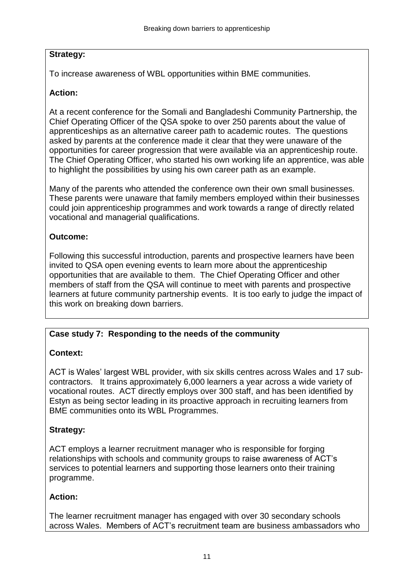# **Strategy:**

To increase awareness of WBL opportunities within BME communities.

# **Action:**

At a recent conference for the Somali and Bangladeshi Community Partnership, the Chief Operating Officer of the QSA spoke to over 250 parents about the value of apprenticeships as an alternative career path to academic routes. The questions asked by parents at the conference made it clear that they were unaware of the opportunities for career progression that were available via an apprenticeship route. The Chief Operating Officer, who started his own working life an apprentice, was able to highlight the possibilities by using his own career path as an example.

Many of the parents who attended the conference own their own small businesses. These parents were unaware that family members employed within their businesses could join apprenticeship programmes and work towards a range of directly related vocational and managerial qualifications.

# **Outcome:**

Following this successful introduction, parents and prospective learners have been invited to QSA open evening events to learn more about the apprenticeship opportunities that are available to them. The Chief Operating Officer and other members of staff from the QSA will continue to meet with parents and prospective learners at future community partnership events. It is too early to judge the impact of this work on breaking down barriers.

# **Case study 7: Responding to the needs of the community**

# **Context:**

ACT is Wales' largest WBL provider, with six skills centres across Wales and 17 subcontractors. It trains approximately 6,000 learners a year across a wide variety of vocational routes. ACT directly employs over 300 staff, and has been identified by Estyn as being sector leading in its proactive approach in recruiting learners from BME communities onto its WBL Programmes.

# **Strategy:**

ACT employs a learner recruitment manager who is responsible for forging relationships with schools and community groups to raise awareness of ACT's services to potential learners and supporting those learners onto their training programme.

# **Action:**

The learner recruitment manager has engaged with over 30 secondary schools across Wales. Members of ACT's recruitment team are business ambassadors who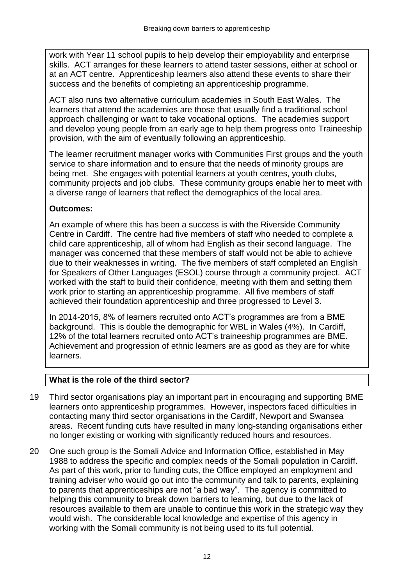work with Year 11 school pupils to help develop their employability and enterprise skills. ACT arranges for these learners to attend taster sessions, either at school or at an ACT centre. Apprenticeship learners also attend these events to share their success and the benefits of completing an apprenticeship programme.

ACT also runs two alternative curriculum academies in South East Wales. The learners that attend the academies are those that usually find a traditional school approach challenging or want to take vocational options. The academies support and develop young people from an early age to help them progress onto Traineeship provision, with the aim of eventually following an apprenticeship.

The learner recruitment manager works with Communities First groups and the youth service to share information and to ensure that the needs of minority groups are being met. She engages with potential learners at youth centres, youth clubs, community projects and job clubs. These community groups enable her to meet with a diverse range of learners that reflect the demographics of the local area.

## **Outcomes:**

An example of where this has been a success is with the Riverside Community Centre in Cardiff. The centre had five members of staff who needed to complete a child care apprenticeship, all of whom had English as their second language. The manager was concerned that these members of staff would not be able to achieve due to their weaknesses in writing. The five members of staff completed an English for Speakers of Other Languages (ESOL) course through a community project. ACT worked with the staff to build their confidence, meeting with them and setting them work prior to starting an apprenticeship programme. All five members of staff achieved their foundation apprenticeship and three progressed to Level 3.

In 2014-2015, 8% of learners recruited onto ACT's programmes are from a BME background. This is double the demographic for WBL in Wales (4%). In Cardiff, 12% of the total learners recruited onto ACT's traineeship programmes are BME. Achievement and progression of ethnic learners are as good as they are for white learners.

## **What is the role of the third sector?**

- 19 Third sector organisations play an important part in encouraging and supporting BME learners onto apprenticeship programmes. However, inspectors faced difficulties in contacting many third sector organisations in the Cardiff, Newport and Swansea areas. Recent funding cuts have resulted in many long-standing organisations either no longer existing or working with significantly reduced hours and resources.
- 20 One such group is the Somali Advice and Information Office, established in May 1988 to address the specific and complex needs of the Somali population in Cardiff. As part of this work, prior to funding cuts, the Office employed an employment and training adviser who would go out into the community and talk to parents, explaining to parents that apprenticeships are not "a bad way". The agency is committed to helping this community to break down barriers to learning, but due to the lack of resources available to them are unable to continue this work in the strategic way they would wish. The considerable local knowledge and expertise of this agency in working with the Somali community is not being used to its full potential.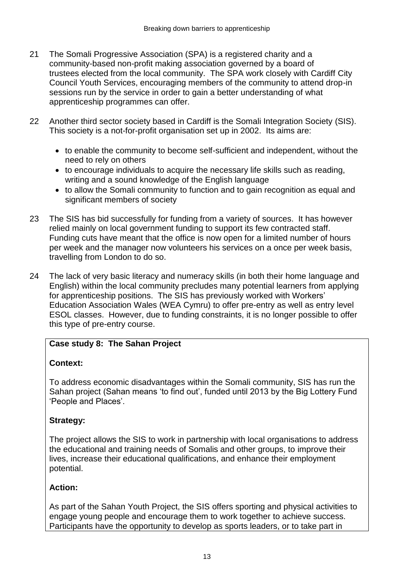- 21 The Somali Progressive Association (SPA) is a registered charity and a community-based non-profit making association governed by a board of trustees elected from the local community. The SPA work closely with Cardiff City Council Youth Services, encouraging members of the community to attend drop-in sessions run by the service in order to gain a better understanding of what apprenticeship programmes can offer.
- 22 Another third sector society based in Cardiff is the Somali Integration Society (SIS). This society is a not-for-profit organisation set up in 2002. Its aims are:
	- to enable the community to become self-sufficient and independent, without the need to rely on others
	- to encourage individuals to acquire the necessary life skills such as reading, writing and a sound knowledge of the English language
	- to allow the Somali community to function and to gain recognition as equal and significant members of society
- 23 The SIS has bid successfully for funding from a variety of sources. It has however relied mainly on local government funding to support its few contracted staff. Funding cuts have meant that the office is now open for a limited number of hours per week and the manager now volunteers his services on a once per week basis, travelling from London to do so.
- 24 The lack of very basic literacy and numeracy skills (in both their home language and English) within the local community precludes many potential learners from applying for apprenticeship positions. The SIS has previously worked with Workers' Education Association Wales (WEA Cymru) to offer pre-entry as well as entry level ESOL classes. However, due to funding constraints, it is no longer possible to offer this type of pre-entry course.

# **Case study 8: The Sahan Project**

# **Context:**

To address economic disadvantages within the Somali community, SIS has run the Sahan project (Sahan means 'to find out', funded until 2013 by the Big Lottery Fund 'People and Places'.

# **Strategy:**

The project allows the SIS to work in partnership with local organisations to address the educational and training needs of Somalis and other groups, to improve their lives, increase their educational qualifications, and enhance their employment potential.

# **Action:**

As part of the Sahan Youth Project, the SIS offers sporting and physical activities to engage young people and encourage them to work together to achieve success. Participants have the opportunity to develop as sports leaders, or to take part in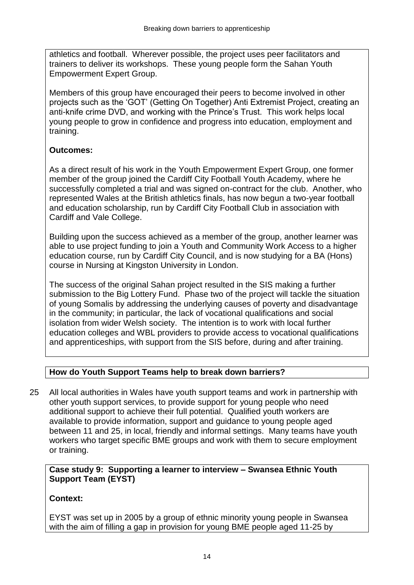athletics and football. Wherever possible, the project uses peer facilitators and trainers to deliver its workshops. These young people form the Sahan Youth Empowerment Expert Group.

Members of this group have encouraged their peers to become involved in other projects such as the 'GOT' (Getting On Together) Anti Extremist Project, creating an anti-knife crime DVD, and working with the Prince's Trust. This work helps local young people to grow in confidence and progress into education, employment and training.

# **Outcomes:**

As a direct result of his work in the Youth Empowerment Expert Group, one former member of the group joined the Cardiff City Football Youth Academy, where he successfully completed a trial and was signed on-contract for the club. Another, who represented Wales at the British athletics finals, has now begun a two-year football and education scholarship, run by Cardiff City Football Club in association with Cardiff and Vale College.

Building upon the success achieved as a member of the group, another learner was able to use project funding to join a Youth and Community Work Access to a higher education course, run by Cardiff City Council, and is now studying for a BA (Hons) course in Nursing at Kingston University in London.

The success of the original Sahan project resulted in the SIS making a further submission to the Big Lottery Fund. Phase two of the project will tackle the situation of young Somalis by addressing the underlying causes of poverty and disadvantage in the community; in particular, the lack of vocational qualifications and social isolation from wider Welsh society. The intention is to work with local further education colleges and WBL providers to provide access to vocational qualifications and apprenticeships, with support from the SIS before, during and after training.

# **How do Youth Support Teams help to break down barriers?**

25 All local authorities in Wales have youth support teams and work in partnership with other youth support services, to provide support for young people who need additional support to achieve their full potential. Qualified youth workers are available to provide information, support and guidance to young people aged between 11 and 25, in local, friendly and informal settings. Many teams have youth workers who target specific BME groups and work with them to secure employment or training.

### **Case study 9: Supporting a learner to interview – Swansea Ethnic Youth Support Team (EYST)**

## **Context:**

EYST was set up in 2005 by a group of ethnic minority young people in Swansea with the aim of filling a gap in provision for young BME people aged 11-25 by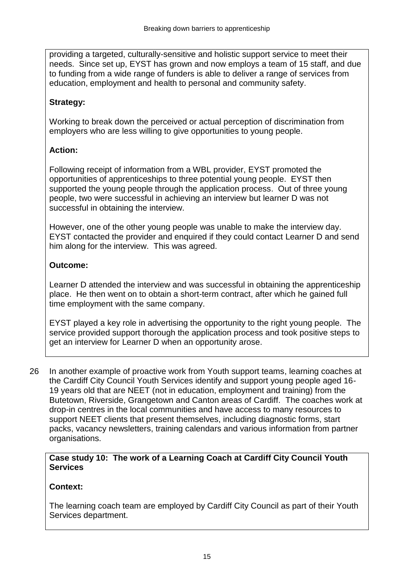providing a targeted, culturally-sensitive and holistic support service to meet their needs. Since set up, EYST has grown and now employs a team of 15 staff, and due to funding from a wide range of funders is able to deliver a range of services from education, employment and health to personal and community safety.

# **Strategy:**

Working to break down the perceived or actual perception of discrimination from employers who are less willing to give opportunities to young people.

# **Action:**

Following receipt of information from a WBL provider, EYST promoted the opportunities of apprenticeships to three potential young people. EYST then supported the young people through the application process. Out of three young people, two were successful in achieving an interview but learner D was not successful in obtaining the interview.

However, one of the other young people was unable to make the interview day. EYST contacted the provider and enquired if they could contact Learner D and send him along for the interview. This was agreed.

# **Outcome:**

Learner D attended the interview and was successful in obtaining the apprenticeship place. He then went on to obtain a short-term contract, after which he gained full time employment with the same company.

EYST played a key role in advertising the opportunity to the right young people. The service provided support thorough the application process and took positive steps to get an interview for Learner D when an opportunity arose.

26 In another example of proactive work from Youth support teams, learning coaches at the Cardiff City Council Youth Services identify and support young people aged 16- 19 years old that are NEET (not in education, employment and training) from the Butetown, Riverside, Grangetown and Canton areas of Cardiff. The coaches work at drop-in centres in the local communities and have access to many resources to support NEET clients that present themselves, including diagnostic forms, start packs, vacancy newsletters, training calendars and various information from partner organisations.

## **Case study 10: The work of a Learning Coach at Cardiff City Council Youth Services**

# **Context:**

The learning coach team are employed by Cardiff City Council as part of their Youth Services department.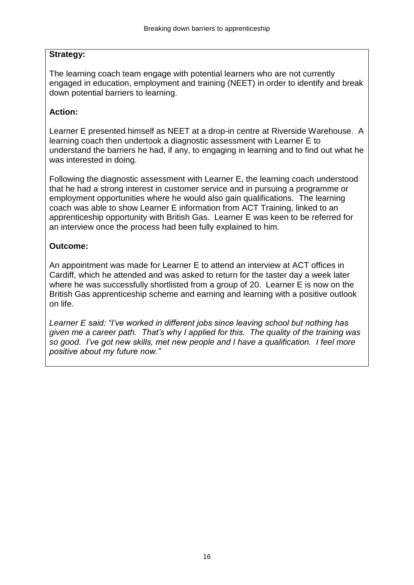## **Strategy:**

The learning coach team engage with potential learners who are not currently engaged in education, employment and training (NEET) in order to identify and break down potential barriers to learning.

## **Action:**

Learner E presented himself as NEET at a drop-in centre at Riverside Warehouse. A learning coach then undertook a diagnostic assessment with Learner E to understand the barriers he had, if any, to engaging in learning and to find out what he was interested in doing.

Following the diagnostic assessment with Learner E, the learning coach understood that he had a strong interest in customer service and in pursuing a programme or employment opportunities where he would also gain qualifications. The learning coach was able to show Learner E information from ACT Training, linked to an apprenticeship opportunity with British Gas. Learner E was keen to be referred for an interview once the process had been fully explained to him.

### **Outcome:**

An appointment was made for Learner E to attend an interview at ACT offices in Cardiff, which he attended and was asked to return for the taster day a week later where he was successfully shortlisted from a group of 20. Learner E is now on the British Gas apprenticeship scheme and earning and learning with a positive outlook on life.

*Learner E said: "I've worked in different jobs since leaving school but nothing has given me a career path. That's why I applied for this. The quality of the training was so good. I've got new skills, met new people and I have a qualification. I feel more positive about my future now."*